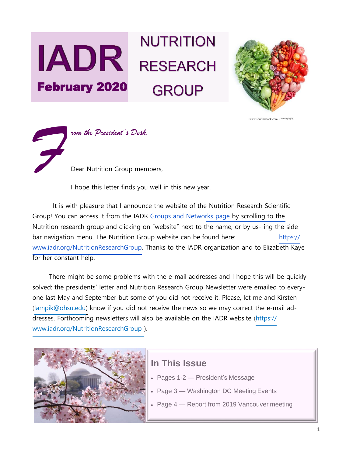# **NUTRITION IADR** RESEARCH February 2020 **GROUP**





I hope this letter finds you well in this new year.

It is with pleasure that I announce the website of the Nutrition Research Scientific Group! You can access it from the IADR [Groups and Networks page b](https://www.iadr.org/IADR/Groups-Networks)y scrolling to the Nutrition research group and clicking on "website" next to the name, or by us- ing the side bar navigation menu. The Nutrition Group website can be found here: [https://](https://www.iadr.org/NutritionResearchGroup) [www.iadr.org/NutritionResearchGroup. T](https://www.iadr.org/NutritionResearchGroup)hanks to the IADR organization and to Elizabeth Kaye for her constant help.

There might be some problems with the e-mail addresses and I hope this will be quickly solved: the presidents' letter and Nutrition Research Group Newsletter were emailed to everyone last May and September but some of you did not receive it. Please, let me and Kirsten [\(lampik@ohsu.edu\) k](mailto:lampik@ohsu.edu)now if you did not receive the news so we may correct the e-mail ad-dresses. Forthcoming newsletters will also be available on the IADR website [\(https://](https://www.iadr.org/NutritionResearchGroup) [www.iadr.org/NutritionResearchGroup \)](https://www.iadr.org/NutritionResearchGroup).



## **In This Issue**

- Pages 1-2 President's Message
- Page 3 Washington DC Meeting Events
- Page 4 Report from 2019 Vancouver meeting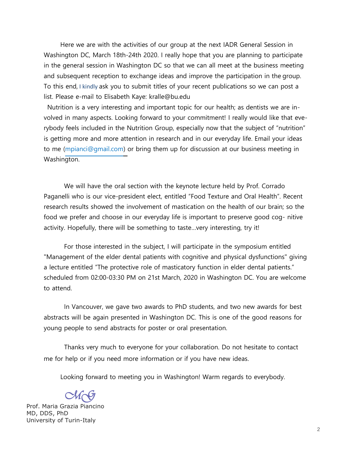Here we are with the activities of our group at the next IADR General Session in Washington DC, March 18th-24th 2020. I really hope that you are planning to participate in the general session in Washington DC so that we can all meet at the business meeting and subsequent reception to exchange ideas and improve the participation in the group. To this end, I kindly ask you to submit titles of your recent publications so we can post a list. Please e-mail to Elisabeth Kaye: kralle@bu.edu

Nutrition is a very interesting and important topic for our health; as dentists we are involved in many aspects. Looking forward to your commitment! I really would like that everybody feels included in the Nutrition Group, especially now that the subject of "nutrition" is getting more and more attention in research and in our everyday life. Email your ideas to me [\(mpianci@gmail.com\) o](mailto:mpianci@gmail.com)r bring them up for discussion at our business meeting in Washington.

We will have the oral section with the keynote lecture held by Prof. Corrado Paganelli who is our vice-president elect, entitled "Food Texture and Oral Health". Recent research results showed the involvement of mastication on the health of our brain; so the food we prefer and choose in our everyday life is important to preserve good cog- nitive activity. Hopefully, there will be something to taste…very interesting, try it!

For those interested in the subject, I will participate in the symposium entitled "Management of the elder dental patients with cognitive and physical dysfunctions" giving a lecture entitled "The protective role of masticatory function in elder dental patients." scheduled from 02:00-03:30 PM on 21st March, 2020 in Washington DC. You are welcome to attend.

In Vancouver, we gave two awards to PhD students, and two new awards for best abstracts will be again presented in Washington DC. This is one of the good reasons for young people to send abstracts for poster or oral presentation.

Thanks very much to everyone for your collaboration. Do not hesitate to contact me for help or if you need more information or if you have new ideas.

Looking forward to meeting you in Washington! Warm regards to everybody.

*MG*

Prof. Maria Grazia Piancino MD, DDS, PhD University of Turin-Italy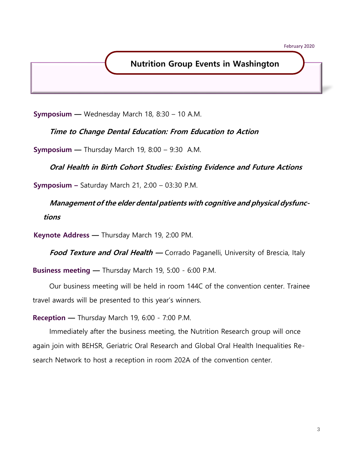### **Nutrition Group Events in Washington**

**Symposium —** Wednesday March 18, 8:30 – 10 A.M.

**Time to Change Dental Education: From Education to Action**

**Symposium —** Thursday March 19, 8:00 – 9:30 A.M.

**Oral Health in Birth Cohort Studies: Existing Evidence and Future Actions**

**Symposium –** Saturday March 21, 2:00 – 03:30 P.M.

**Management of the elder dental patients with cognitive and physical dysfunctions**

**Keynote Address —** Thursday March 19, 2:00 PM.

**Food Texture and Oral Health** — Corrado Paganelli, University of Brescia, Italy

**Business meeting —** Thursday March 19, 5:00 - 6:00 P.M.

Our business meeting will be held in room 144C of the convention center. Trainee travel awards will be presented to this year's winners.

**Reception —** Thursday March 19, 6:00 - 7:00 P.M.

Immediately after the business meeting, the Nutrition Research group will once again join with BEHSR, Geriatric Oral Research and Global Oral Health Inequalities Research Network to host a reception in room 202A of the convention center.